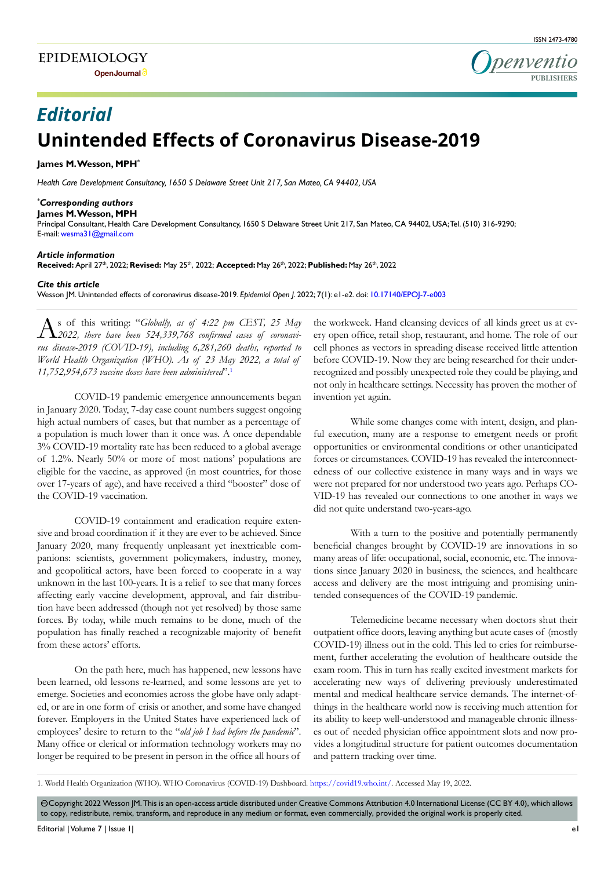

# **Unintended Effects of Coronavirus Disease-2019** *Editorial*

#### **James M. Wesson, MPH\***

*Health Care Development Consultancy, 1650 S Delaware Street Unit 217, San Mateo, CA 94402, USA*

### *\* Corresponding authors*

#### **James M. Wesson, MPH**

Principal Consultant, Health Care Development Consultancy, 1650 S Delaware Street Unit 217, San Mateo, CA 94402, USA; Tel. (510) 316-9290; E-mail: wesma31@gmail.com

### *Article information*

**Received:** April 27th, 2022; **Revised:** May 25th, 2022; **Accepted:** May 26th, 2022; **Published:** May 26th, 2022

#### *Cite this article*

Wesson JM. Unintended effects of coronavirus disease-2019. *Epidemiol Open J*. 2022; 7(1): e1-e2. doi: [10.17140/EPOJ-7-e003](http://dx.doi.org/10.17140/EPOJ-7-e003)

As of this writing: "*Globally, as of 4:22 pm CEST, 25 May*   $\Gamma$ **2**022, there have been 524,339,768 confirmed cases of coronavi*rus disease-2019 (COVID-19), including 6,281,260 deaths, reported to World Health Organization (WHO). As of 23 May 2022, a total of 11,752,954,673 vaccine doses have been administered*".[1](#page-0-0)

COVID-19 pandemic emergence announcements began in January 2020. Today, 7-day case count numbers suggest ongoing high actual numbers of cases, but that number as a percentage of a population is much lower than it once was. A once dependable 3% COVID-19 mortality rate has been reduced to a global average of 1.2%. Nearly 50% or more of most nations' populations are eligible for the vaccine, as approved (in most countries, for those over 17-years of age), and have received a third "booster" dose of the COVID-19 vaccination.

COVID-19 containment and eradication require extensive and broad coordination if it they are ever to be achieved. Since January 2020, many frequently unpleasant yet inextricable companions: scientists, government policymakers, industry, money, and geopolitical actors, have been forced to cooperate in a way unknown in the last 100-years. It is a relief to see that many forces affecting early vaccine development, approval, and fair distribution have been addressed (though not yet resolved) by those same forces. By today, while much remains to be done, much of the population has finally reached a recognizable majority of benefit from these actors' efforts.

On the path here, much has happened, new lessons have been learned, old lessons re-learned, and some lessons are yet to emerge. Societies and economies across the globe have only adapted, or are in one form of crisis or another, and some have changed forever. Employers in the United States have experienced lack of employees' desire to return to the "*old job I had before the pandemic*". Many office or clerical or information technology workers may no longer be required to be present in person in the office all hours of

the workweek. Hand cleansing devices of all kinds greet us at every open office, retail shop, restaurant, and home. The role of our cell phones as vectors in spreading disease received little attention before COVID-19. Now they are being researched for their underrecognized and possibly unexpected role they could be playing, and not only in healthcare settings. Necessity has proven the mother of invention yet again.

While some changes come with intent, design, and planful execution, many are a response to emergent needs or profit opportunities or environmental conditions or other unanticipated forces or circumstances. COVID-19 has revealed the interconnectedness of our collective existence in many ways and in ways we were not prepared for nor understood two years ago. Perhaps CO-VID-19 has revealed our connections to one another in ways we did not quite understand two-years-ago.

With a turn to the positive and potentially permanently beneficial changes brought by COVID-19 are innovations in so many areas of life: occupational, social, economic, etc. The innovations since January 2020 in business, the sciences, and healthcare access and delivery are the most intriguing and promising unintended consequences of the COVID-19 pandemic.

Telemedicine became necessary when doctors shut their outpatient office doors, leaving anything but acute cases of (mostly COVID-19) illness out in the cold. This led to cries for reimbursement, further accelerating the evolution of healthcare outside the exam room. This in turn has really excited investment markets for accelerating new ways of delivering previously underestimated mental and medical healthcare service demands. The internet-ofthings in the healthcare world now is receiving much attention for its ability to keep well-understood and manageable chronic illnesses out of needed physician office appointment slots and now provides a longitudinal structure for patient outcomes documentation and pattern tracking over time.

<span id="page-0-0"></span>1. World Health Organization (WHO). WHO Coronavirus (COVID-19) Dashboard. [https://covid19.who.int/.](https://covid19.who.int/) Accessed May 19, 2022.

© Copyright 2022 Wesson JM. This is an open-access article distributed under Creative Commons Attribution 4.0 International License (CC BY 4.0), which allows to copy, redistribute, remix, transform, and reproduce in any medium or format, even commercially, provided the original work is properly cited.